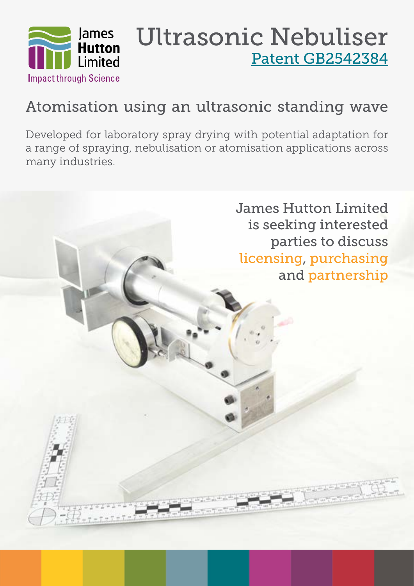

## Atomisation using an ultrasonic standing wave

Developed for laboratory spray drying with potential adaptation for a range of spraying, nebulisation or atomisation applications across many industries.